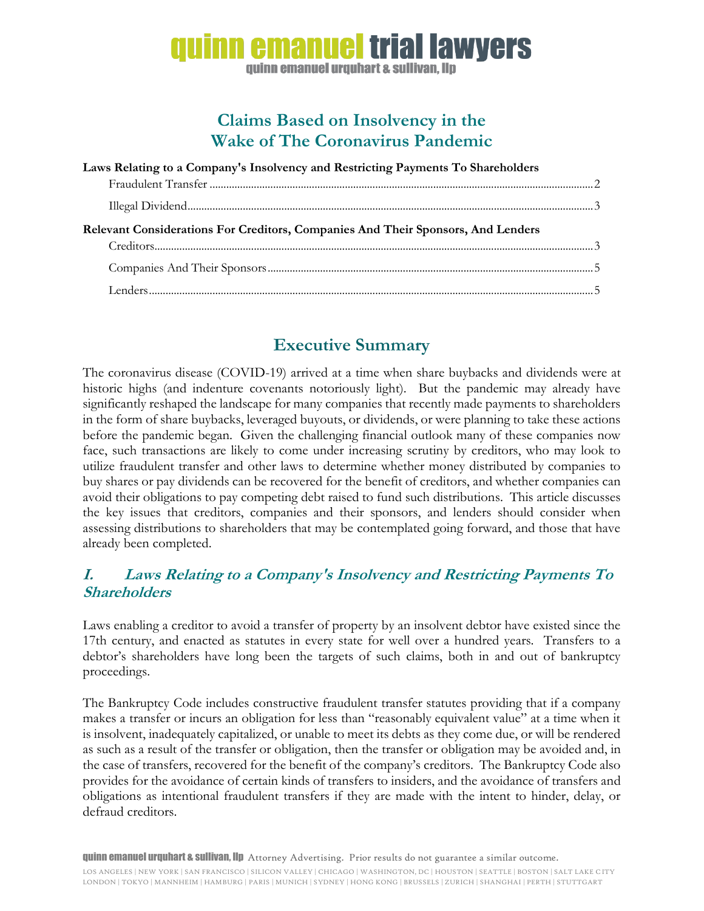# nn emanuel trial lawvers guinn emanuel urguhart & sullivan, llp

## **Claims Based on Insolvency in the Wake of The Coronavirus Pandemic**

| Laws Relating to a Company's Insolvency and Restricting Payments To Shareholders |  |
|----------------------------------------------------------------------------------|--|
|                                                                                  |  |
|                                                                                  |  |
| Relevant Considerations For Creditors, Companies And Their Sponsors, And Lenders |  |
|                                                                                  |  |
|                                                                                  |  |

## **Executive Summary**

The coronavirus disease (COVID-19) arrived at a time when share buybacks and dividends were at historic highs (and indenture covenants notoriously light). But the pandemic may already have significantly reshaped the landscape for many companies that recently made payments to shareholders in the form of share buybacks, leveraged buyouts, or dividends, or were planning to take these actions before the pandemic began. Given the challenging financial outlook many of these companies now face, such transactions are likely to come under increasing scrutiny by creditors, who may look to utilize fraudulent transfer and other laws to determine whether money distributed by companies to buy shares or pay dividends can be recovered for the benefit of creditors, and whether companies can avoid their obligations to pay competing debt raised to fund such distributions. This article discusses the key issues that creditors, companies and their sponsors, and lenders should consider when assessing distributions to shareholders that may be contemplated going forward, and those that have already been completed.

## **I. Laws Relating to a Company's Insolvency and Restricting Payments To Shareholders**

Laws enabling a creditor to avoid a transfer of property by an insolvent debtor have existed since the 17th century, and enacted as statutes in every state for well over a hundred years. Transfers to a debtor's shareholders have long been the targets of such claims, both in and out of bankruptcy proceedings.

The Bankruptcy Code includes constructive fraudulent transfer statutes providing that if a company makes a transfer or incurs an obligation for less than "reasonably equivalent value" at a time when it is insolvent, inadequately capitalized, or unable to meet its debts as they come due, or will be rendered as such as a result of the transfer or obligation, then the transfer or obligation may be avoided and, in the case of transfers, recovered for the benefit of the company's creditors. The Bankruptcy Code also provides for the avoidance of certain kinds of transfers to insiders, and the avoidance of transfers and obligations as intentional fraudulent transfers if they are made with the intent to hinder, delay, or defraud creditors.

quinn emanuel urquhart & sullivan, llp Attorney Advertising. Prior results do not guarantee a similar outcome.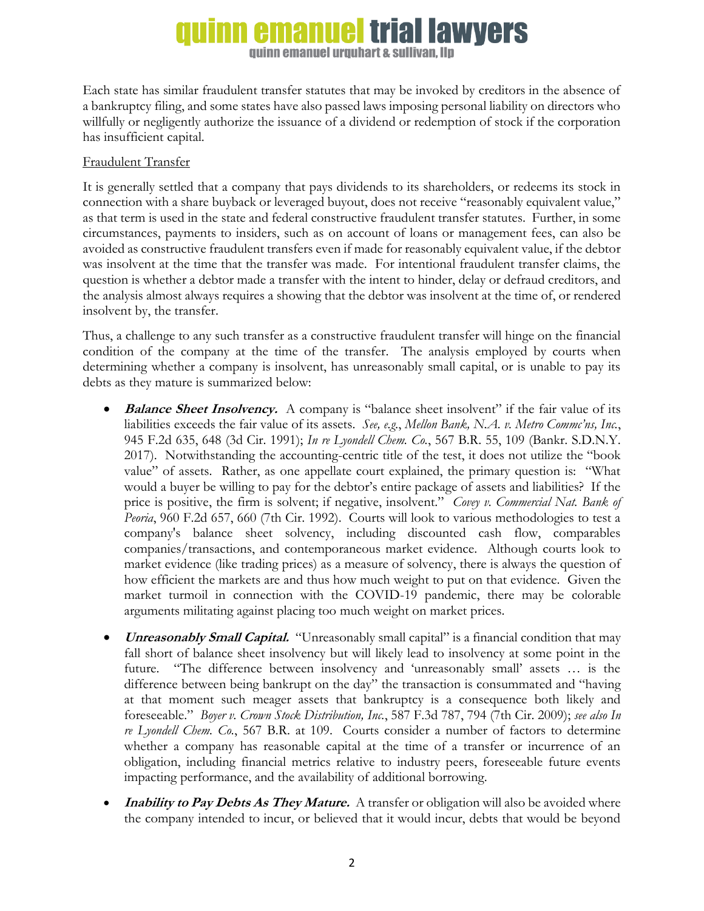# **emanuel trial lawvers**

**guinn emanuel urguhart & sullivan. Ilp** 

Each state has similar fraudulent transfer statutes that may be invoked by creditors in the absence of a bankruptcy filing, and some states have also passed laws imposing personal liability on directors who willfully or negligently authorize the issuance of a dividend or redemption of stock if the corporation has insufficient capital.

### Fraudulent Transfer

It is generally settled that a company that pays dividends to its shareholders, or redeems its stock in connection with a share buyback or leveraged buyout, does not receive "reasonably equivalent value," as that term is used in the state and federal constructive fraudulent transfer statutes. Further, in some circumstances, payments to insiders, such as on account of loans or management fees, can also be avoided as constructive fraudulent transfers even if made for reasonably equivalent value, if the debtor was insolvent at the time that the transfer was made. For intentional fraudulent transfer claims, the question is whether a debtor made a transfer with the intent to hinder, delay or defraud creditors, and the analysis almost always requires a showing that the debtor was insolvent at the time of, or rendered insolvent by, the transfer.

Thus, a challenge to any such transfer as a constructive fraudulent transfer will hinge on the financial condition of the company at the time of the transfer. The analysis employed by courts when determining whether a company is insolvent, has unreasonably small capital, or is unable to pay its debts as they mature is summarized below:

- **Balance Sheet Insolvency.** A company is "balance sheet insolvent" if the fair value of its liabilities exceeds the fair value of its assets. *See, e.g.*, *Mellon Bank, N.A. v. Metro Commc'ns, Inc.*, 945 F.2d 635, 648 (3d Cir. 1991); *In re Lyondell Chem. Co.*, 567 B.R. 55, 109 (Bankr. S.D.N.Y. 2017). Notwithstanding the accounting-centric title of the test, it does not utilize the "book value" of assets. Rather, as one appellate court explained, the primary question is: "What would a buyer be willing to pay for the debtor's entire package of assets and liabilities? If the price is positive, the firm is solvent; if negative, insolvent." *Covey v. Commercial Nat. Bank of Peoria*, 960 F.2d 657, 660 (7th Cir. 1992). Courts will look to various methodologies to test a company's balance sheet solvency, including discounted cash flow, comparables companies/transactions, and contemporaneous market evidence. Although courts look to market evidence (like trading prices) as a measure of solvency, there is always the question of how efficient the markets are and thus how much weight to put on that evidence. Given the market turmoil in connection with the COVID-19 pandemic, there may be colorable arguments militating against placing too much weight on market prices.
- **Unreasonably Small Capital.** "Unreasonably small capital" is a financial condition that may fall short of balance sheet insolvency but will likely lead to insolvency at some point in the future. "The difference between insolvency and 'unreasonably small' assets … is the difference between being bankrupt on the day" the transaction is consummated and "having at that moment such meager assets that bankruptcy is a consequence both likely and foreseeable." *Boyer v. Crown Stock Distribution, Inc.*, 587 F.3d 787, 794 (7th Cir. 2009); *see also In re Lyondell Chem. Co.*, 567 B.R. at 109. Courts consider a number of factors to determine whether a company has reasonable capital at the time of a transfer or incurrence of an obligation, including financial metrics relative to industry peers, foreseeable future events impacting performance, and the availability of additional borrowing.
- **Inability to Pay Debts As They Mature.** A transfer or obligation will also be avoided where the company intended to incur, or believed that it would incur, debts that would be beyond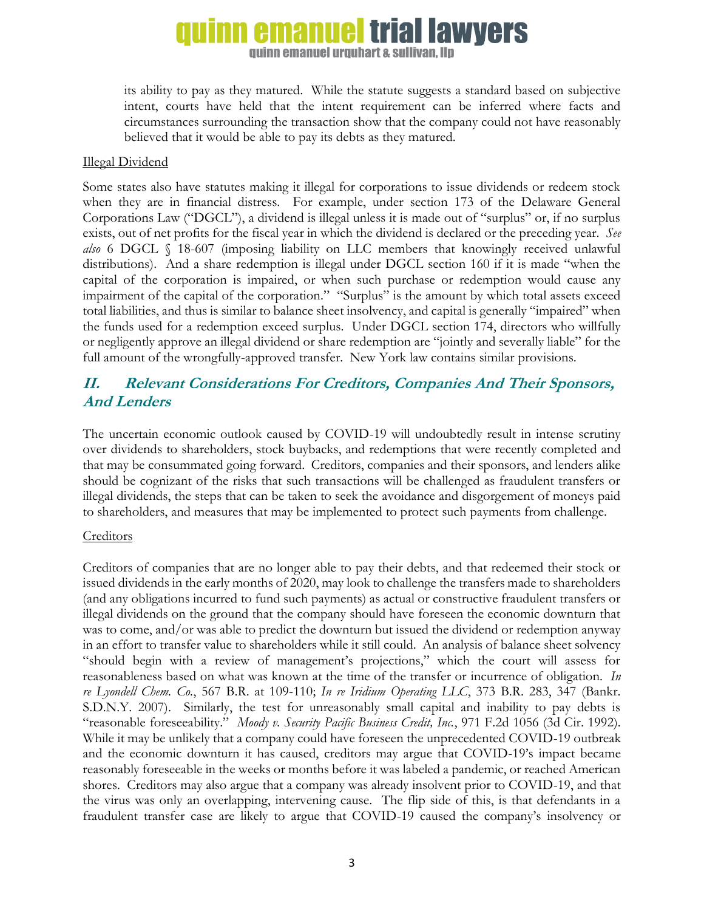# **emanuel trial lawvers**

**guinn emanuel urguhart & sullivan. Ilp** 

its ability to pay as they matured. While the statute suggests a standard based on subjective intent, courts have held that the intent requirement can be inferred where facts and circumstances surrounding the transaction show that the company could not have reasonably believed that it would be able to pay its debts as they matured.

#### Illegal Dividend

Some states also have statutes making it illegal for corporations to issue dividends or redeem stock when they are in financial distress. For example, under section 173 of the Delaware General Corporations Law ("DGCL"), a dividend is illegal unless it is made out of "surplus" or, if no surplus exists, out of net profits for the fiscal year in which the dividend is declared or the preceding year. *See also* 6 DGCL § 18-607 (imposing liability on LLC members that knowingly received unlawful distributions). And a share redemption is illegal under DGCL section 160 if it is made "when the capital of the corporation is impaired, or when such purchase or redemption would cause any impairment of the capital of the corporation." "Surplus" is the amount by which total assets exceed total liabilities, and thus is similar to balance sheet insolvency, and capital is generally "impaired" when the funds used for a redemption exceed surplus. Under DGCL section 174, directors who willfully or negligently approve an illegal dividend or share redemption are "jointly and severally liable" for the full amount of the wrongfully-approved transfer. New York law contains similar provisions.

## **II. Relevant Considerations For Creditors, Companies And Their Sponsors, And Lenders**

The uncertain economic outlook caused by COVID-19 will undoubtedly result in intense scrutiny over dividends to shareholders, stock buybacks, and redemptions that were recently completed and that may be consummated going forward. Creditors, companies and their sponsors, and lenders alike should be cognizant of the risks that such transactions will be challenged as fraudulent transfers or illegal dividends, the steps that can be taken to seek the avoidance and disgorgement of moneys paid to shareholders, and measures that may be implemented to protect such payments from challenge.

#### **Creditors**

Creditors of companies that are no longer able to pay their debts, and that redeemed their stock or issued dividends in the early months of 2020, may look to challenge the transfers made to shareholders (and any obligations incurred to fund such payments) as actual or constructive fraudulent transfers or illegal dividends on the ground that the company should have foreseen the economic downturn that was to come, and/or was able to predict the downturn but issued the dividend or redemption anyway in an effort to transfer value to shareholders while it still could. An analysis of balance sheet solvency "should begin with a review of management's projections," which the court will assess for reasonableness based on what was known at the time of the transfer or incurrence of obligation. *In re Lyondell Chem. Co.*, 567 B.R. at 109-110; *In re Iridium Operating LLC*, 373 B.R. 283, 347 (Bankr. S.D.N.Y. 2007). Similarly, the test for unreasonably small capital and inability to pay debts is "reasonable foreseeability." *Moody v. Security Pacific Business Credit, Inc.*, 971 F.2d 1056 (3d Cir. 1992). While it may be unlikely that a company could have foreseen the unprecedented COVID-19 outbreak and the economic downturn it has caused, creditors may argue that COVID-19's impact became reasonably foreseeable in the weeks or months before it was labeled a pandemic, or reached American shores. Creditors may also argue that a company was already insolvent prior to COVID-19, and that the virus was only an overlapping, intervening cause. The flip side of this, is that defendants in a fraudulent transfer case are likely to argue that COVID-19 caused the company's insolvency or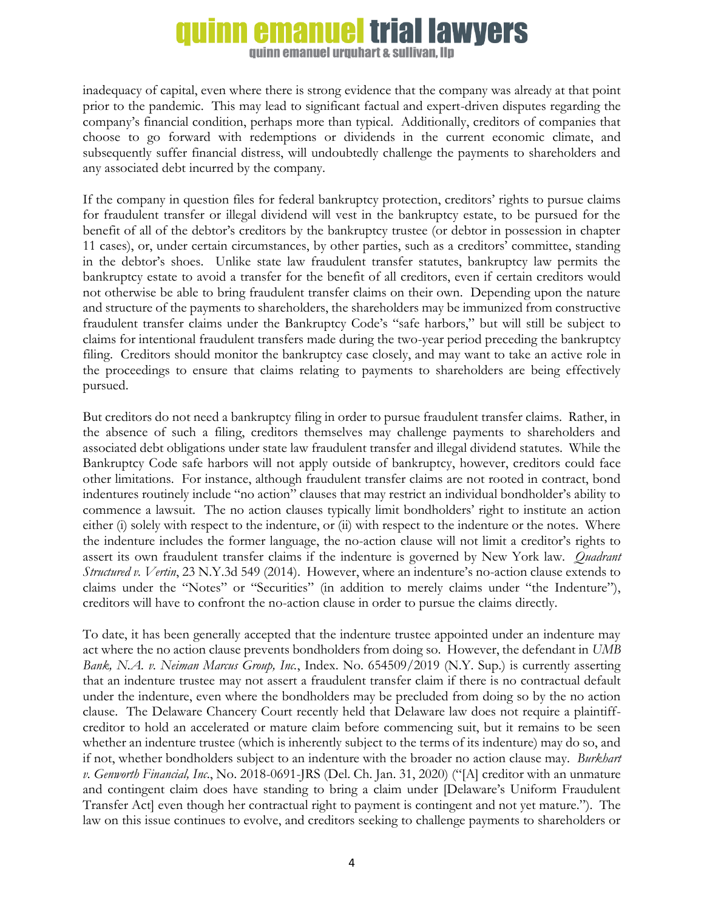### **trial lawyers** emanuel

**guinn emanuel urguhart & sullivan. Ilp** 

inadequacy of capital, even where there is strong evidence that the company was already at that point prior to the pandemic. This may lead to significant factual and expert-driven disputes regarding the company's financial condition, perhaps more than typical. Additionally, creditors of companies that choose to go forward with redemptions or dividends in the current economic climate, and subsequently suffer financial distress, will undoubtedly challenge the payments to shareholders and any associated debt incurred by the company.

If the company in question files for federal bankruptcy protection, creditors' rights to pursue claims for fraudulent transfer or illegal dividend will vest in the bankruptcy estate, to be pursued for the benefit of all of the debtor's creditors by the bankruptcy trustee (or debtor in possession in chapter 11 cases), or, under certain circumstances, by other parties, such as a creditors' committee, standing in the debtor's shoes. Unlike state law fraudulent transfer statutes, bankruptcy law permits the bankruptcy estate to avoid a transfer for the benefit of all creditors, even if certain creditors would not otherwise be able to bring fraudulent transfer claims on their own. Depending upon the nature and structure of the payments to shareholders, the shareholders may be immunized from constructive fraudulent transfer claims under the Bankruptcy Code's "safe harbors," but will still be subject to claims for intentional fraudulent transfers made during the two-year period preceding the bankruptcy filing. Creditors should monitor the bankruptcy case closely, and may want to take an active role in the proceedings to ensure that claims relating to payments to shareholders are being effectively pursued.

But creditors do not need a bankruptcy filing in order to pursue fraudulent transfer claims. Rather, in the absence of such a filing, creditors themselves may challenge payments to shareholders and associated debt obligations under state law fraudulent transfer and illegal dividend statutes. While the Bankruptcy Code safe harbors will not apply outside of bankruptcy, however, creditors could face other limitations. For instance, although fraudulent transfer claims are not rooted in contract, bond indentures routinely include "no action" clauses that may restrict an individual bondholder's ability to commence a lawsuit. The no action clauses typically limit bondholders' right to institute an action either (i) solely with respect to the indenture, or (ii) with respect to the indenture or the notes. Where the indenture includes the former language, the no-action clause will not limit a creditor's rights to assert its own fraudulent transfer claims if the indenture is governed by New York law. *Quadrant Structured v. Vertin*, 23 N.Y.3d 549 (2014). However, where an indenture's no-action clause extends to claims under the "Notes" or "Securities" (in addition to merely claims under "the Indenture"), creditors will have to confront the no-action clause in order to pursue the claims directly.

To date, it has been generally accepted that the indenture trustee appointed under an indenture may act where the no action clause prevents bondholders from doing so. However, the defendant in *UMB Bank, N.A. v. Neiman Marcus Group, Inc.*, Index. No. 654509/2019 (N.Y. Sup.) is currently asserting that an indenture trustee may not assert a fraudulent transfer claim if there is no contractual default under the indenture, even where the bondholders may be precluded from doing so by the no action clause. The Delaware Chancery Court recently held that Delaware law does not require a plaintiffcreditor to hold an accelerated or mature claim before commencing suit, but it remains to be seen whether an indenture trustee (which is inherently subject to the terms of its indenture) may do so, and if not, whether bondholders subject to an indenture with the broader no action clause may. *Burkhart v. Genworth Financial, Inc*., No. 2018-0691-JRS (Del. Ch. Jan. 31, 2020) ("[A] creditor with an unmature and contingent claim does have standing to bring a claim under [Delaware's Uniform Fraudulent Transfer Act] even though her contractual right to payment is contingent and not yet mature."). The law on this issue continues to evolve, and creditors seeking to challenge payments to shareholders or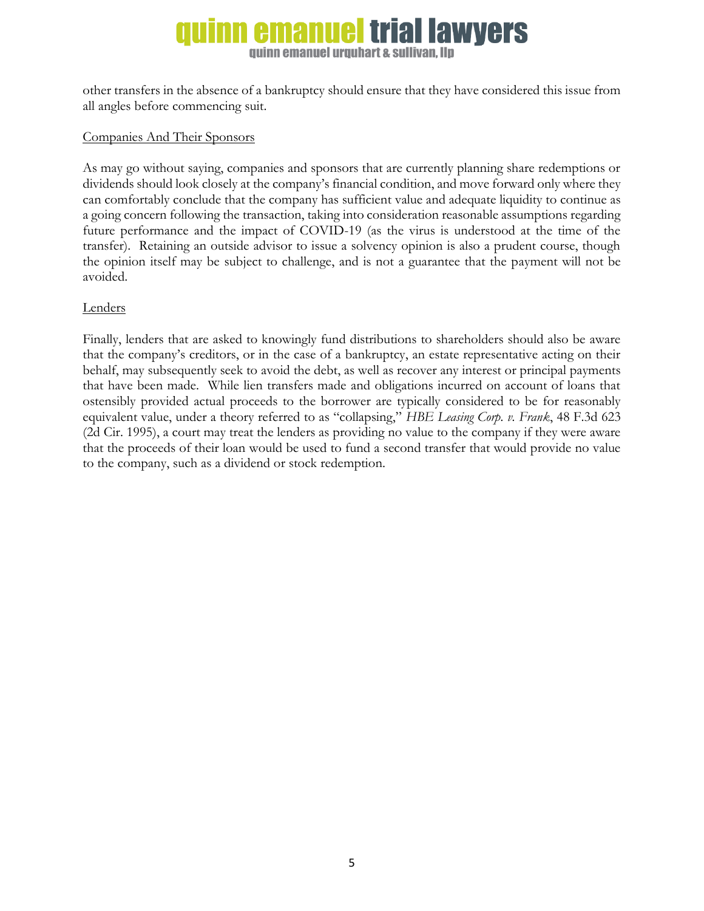## rial lawyers **guinn emanuel urguhart & sullivan. Ilp**

other transfers in the absence of a bankruptcy should ensure that they have considered this issue from all angles before commencing suit.

### Companies And Their Sponsors

As may go without saying, companies and sponsors that are currently planning share redemptions or dividends should look closely at the company's financial condition, and move forward only where they can comfortably conclude that the company has sufficient value and adequate liquidity to continue as a going concern following the transaction, taking into consideration reasonable assumptions regarding future performance and the impact of COVID-19 (as the virus is understood at the time of the transfer). Retaining an outside advisor to issue a solvency opinion is also a prudent course, though the opinion itself may be subject to challenge, and is not a guarantee that the payment will not be avoided.

### **Lenders**

Finally, lenders that are asked to knowingly fund distributions to shareholders should also be aware that the company's creditors, or in the case of a bankruptcy, an estate representative acting on their behalf, may subsequently seek to avoid the debt, as well as recover any interest or principal payments that have been made. While lien transfers made and obligations incurred on account of loans that ostensibly provided actual proceeds to the borrower are typically considered to be for reasonably equivalent value, under a theory referred to as "collapsing," *HBE Leasing Corp. v. Frank*, 48 F.3d 623 (2d Cir. 1995), a court may treat the lenders as providing no value to the company if they were aware that the proceeds of their loan would be used to fund a second transfer that would provide no value to the company, such as a dividend or stock redemption.